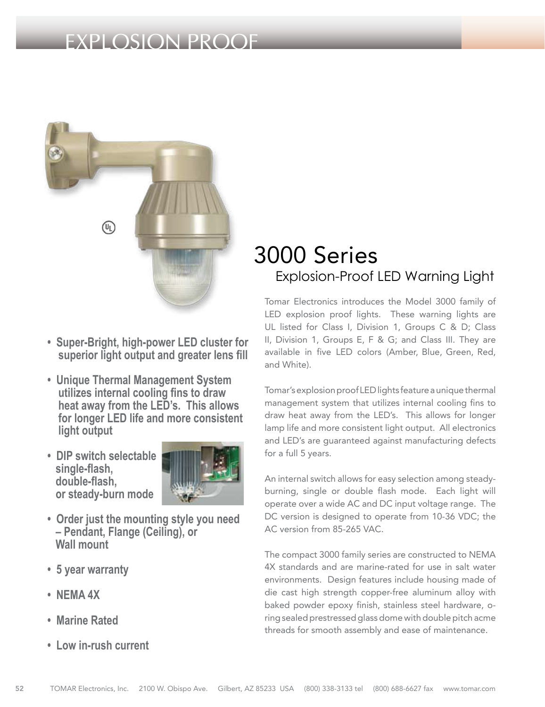## EXPLOSION PROOF



- **Super-Bright, high-power LED cluster for superior light output and greater lens fill**
- **Unique Thermal Management System utilizes internal cooling fins to draw heat away from the LED's. This allows for longer LED life and more consistent light output**
- **DIP switch selectable single-flash, double-flash, or steady-burn mode**



- **Order just the mounting style you need – Pendant, Flange (Ceiling), or Wall mount**
- **5 year warranty**
- **NEMA 4X**
- **Marine Rated**
- **Low in-rush current**

## 3000 Series Explosion-Proof LED Warning Light

Tomar Electronics introduces the Model 3000 family of LED explosion proof lights. These warning lights are UL listed for Class I, Division 1, Groups C & D; Class II, Division 1, Groups E, F & G; and Class III. They are available in five LED colors (Amber, Blue, Green, Red, and White).

Tomar's explosion proof LED lights feature a unique thermal management system that utilizes internal cooling fins to draw heat away from the LED's. This allows for longer lamp life and more consistent light output. All electronics and LED's are guaranteed against manufacturing defects for a full 5 years.

An internal switch allows for easy selection among steadyburning, single or double flash mode. Each light will operate over a wide AC and DC input voltage range. The DC version is designed to operate from 10-36 VDC; the AC version from 85-265 VAC.

The compact 3000 family series are constructed to NEMA 4X standards and are marine-rated for use in salt water environments. Design features include housing made of die cast high strength copper-free aluminum alloy with baked powder epoxy finish, stainless steel hardware, oring sealed prestressed glass dome with double pitch acme threads for smooth assembly and ease of maintenance.